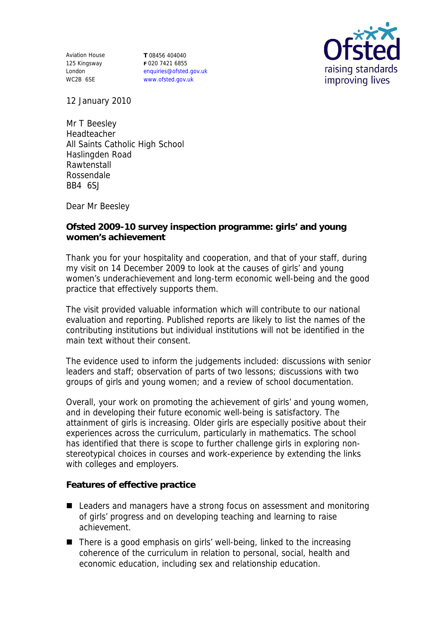Aviation House 125 Kingsway London WC2B 6SE

**T** 08456 404040 **F** 020 7421 6855 enquiries@ofsted.gov.uk www.ofsted.gov.uk



12 January 2010

Mr T Beesley Headteacher All Saints Catholic High School Haslingden Road Rawtenstall Rossendale BB4 6SJ

Dear Mr Beesley

**Ofsted 2009-10 survey inspection programme: girls' and young women's achievement**

Thank you for your hospitality and cooperation, and that of your staff, during my visit on 14 December 2009 to look at the causes of girls' and young women's underachievement and long-term economic well-being and the good practice that effectively supports them.

The visit provided valuable information which will contribute to our national evaluation and reporting. Published reports are likely to list the names of the contributing institutions but individual institutions will not be identified in the main text without their consent.

The evidence used to inform the judgements included: discussions with senior leaders and staff; observation of parts of two lessons; discussions with two groups of girls and young women; and a review of school documentation.

Overall, your work on promoting the achievement of girls' and young women, and in developing their future economic well-being is satisfactory. The attainment of girls is increasing. Older girls are especially positive about their experiences across the curriculum, particularly in mathematics. The school has identified that there is scope to further challenge girls in exploring nonstereotypical choices in courses and work-experience by extending the links with colleges and employers.

**Features of effective practice** 

- Leaders and managers have a strong focus on assessment and monitoring of girls' progress and on developing teaching and learning to raise achievement.
- $\blacksquare$  There is a good emphasis on girls' well-being, linked to the increasing coherence of the curriculum in relation to personal, social, health and economic education, including sex and relationship education.